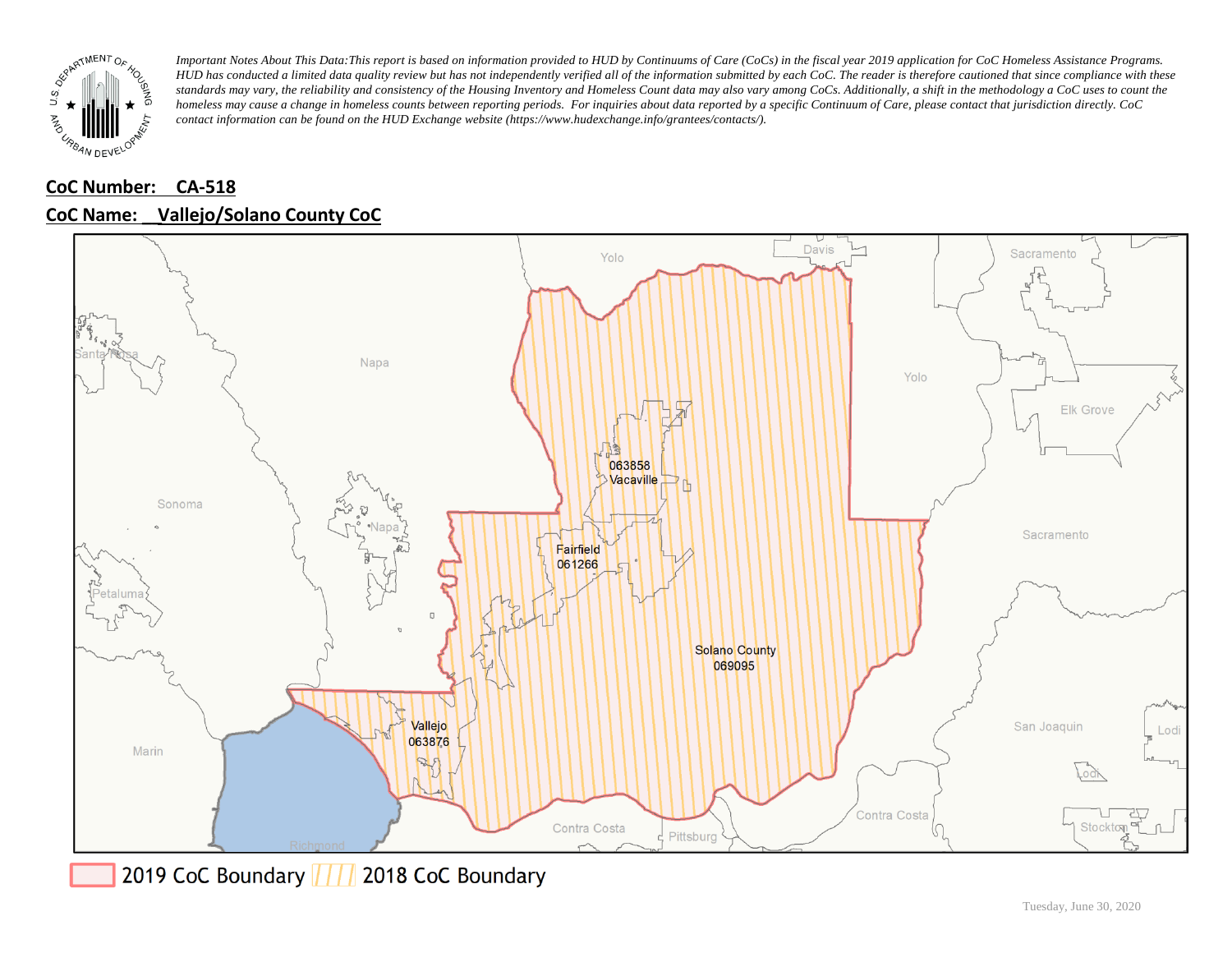

## **CoC Number: CA-518 CoC Name: \_\_ Vallejo/Solano County CoC**



2019 CoC Boundary | | | 2018 CoC Boundary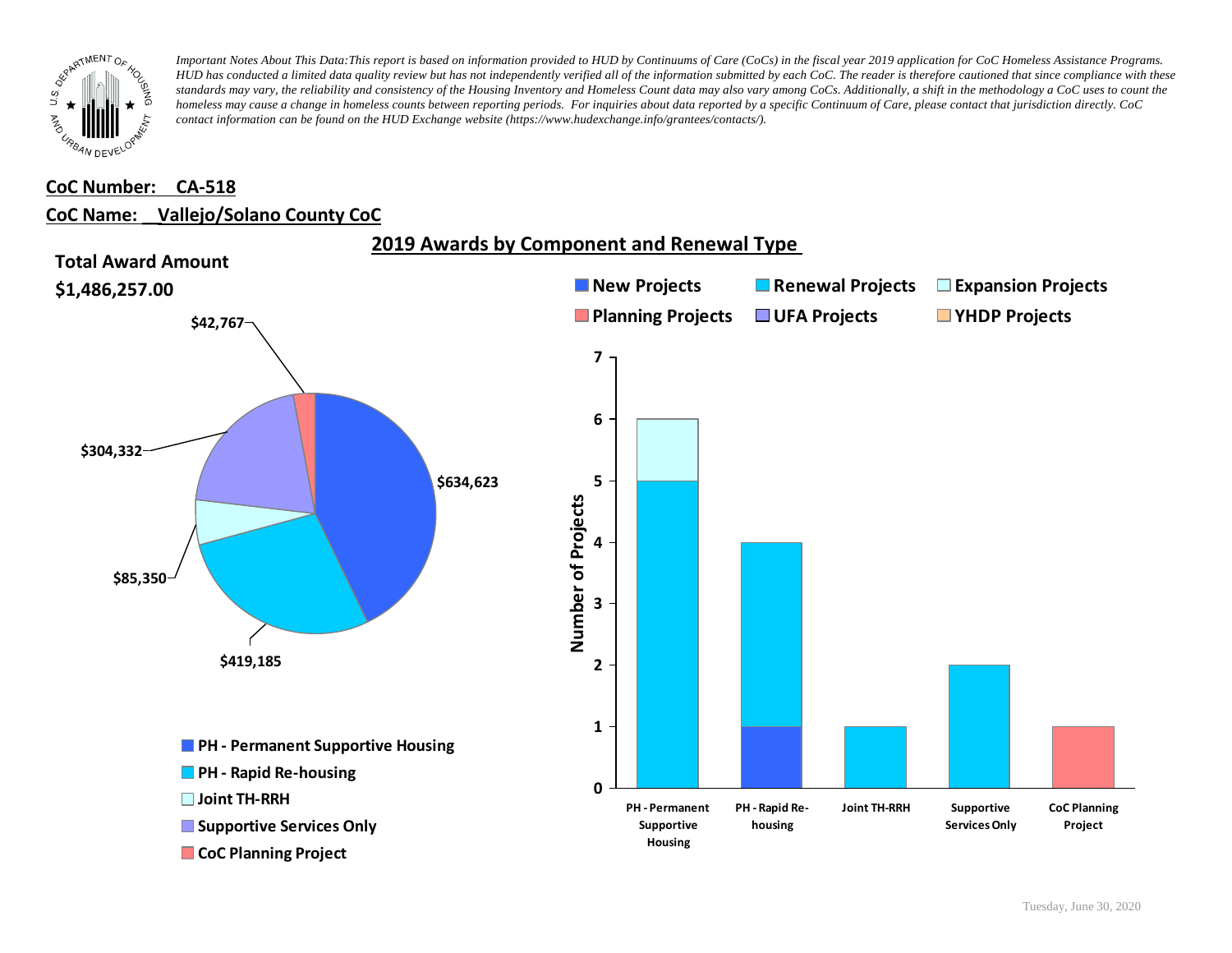

### **CoC Number: CA-518**

#### **CoC Name: \_\_ Vallejo/Solano County CoC**

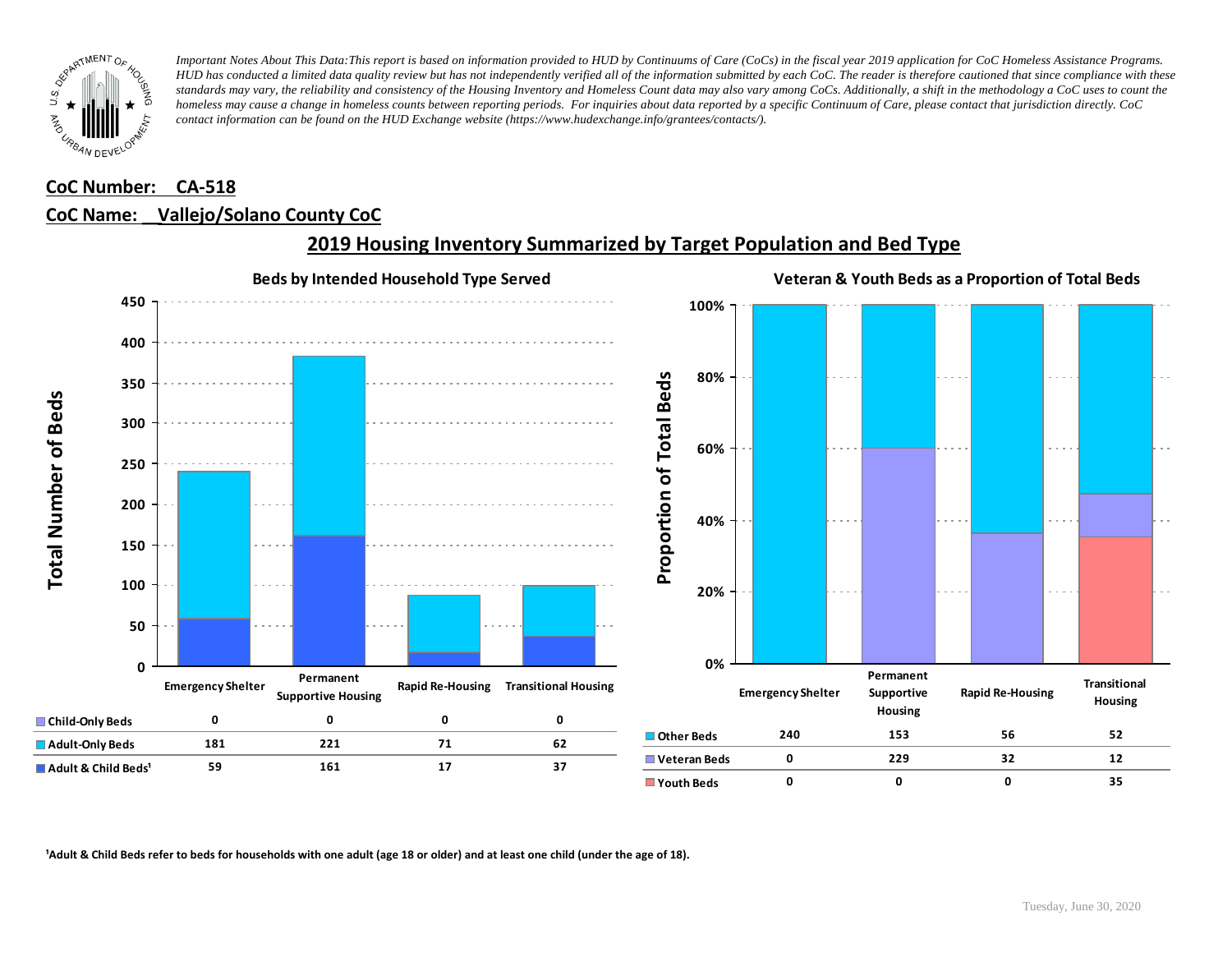

### **CoC Number: CA-518**

#### **CoC Name: \_\_ Vallejo/Solano County CoC**



### **2019 Housing Inventory Summarized by Target Population and Bed Type**

<sup>1</sup> Adult & Child Beds refer to beds for households with one adult (age 18 or older) and at least one child (under the age of 18).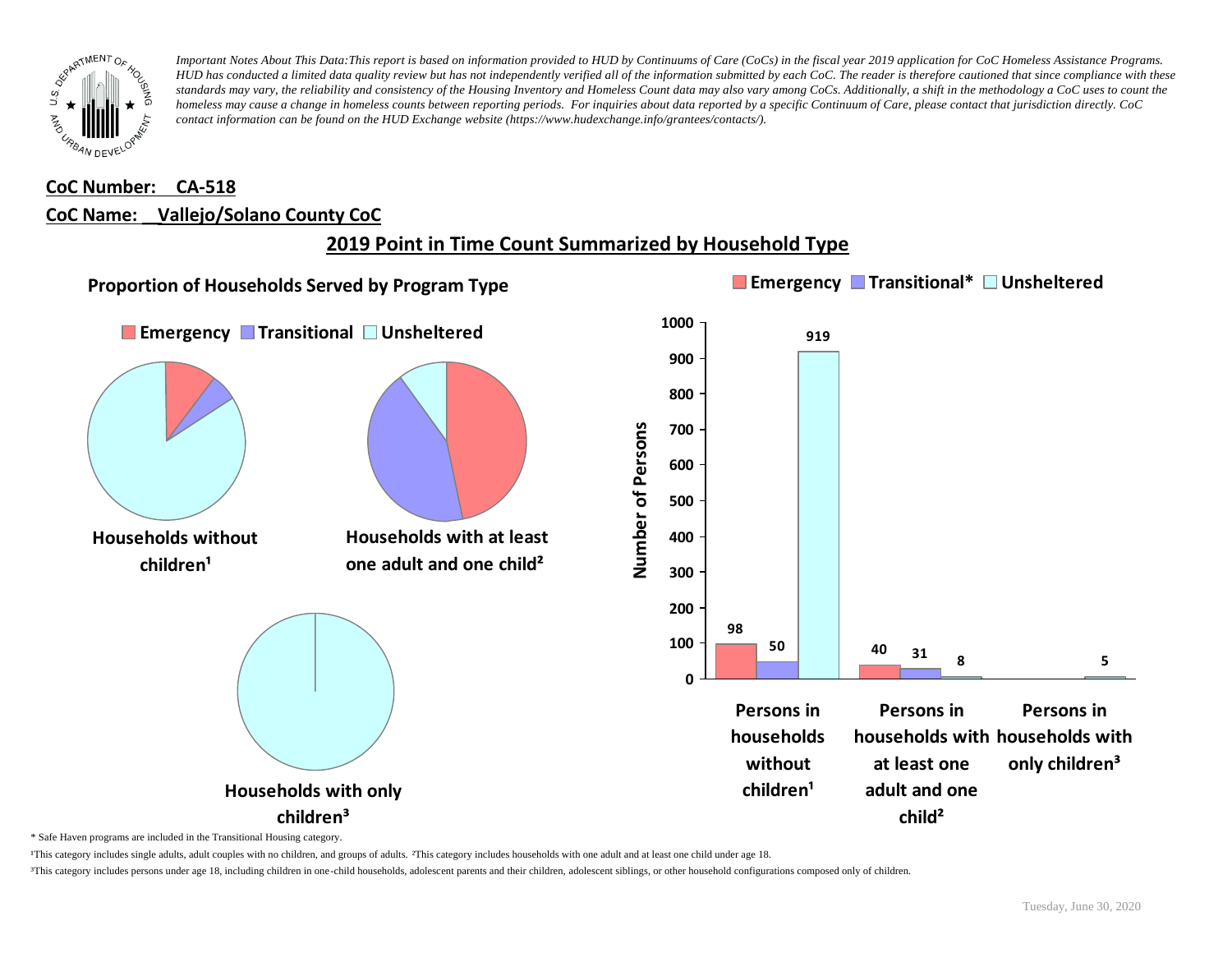

# **CoC Number: CA-518 CoC Name: \_\_ Vallejo/Solano County CoC**

# **2019 Point in Time Count Summarized by Household Type**



\* Safe Haven programs are included in the Transitional Housing category.

¹This category includes single adults, adult couples with no children, and groups of adults. ²This category includes households with one adult and at least one child under age 18.

³This category includes persons under age 18, including children in one-child households, adolescent parents and their children, adolescent siblings, or other household configurations composed only of children.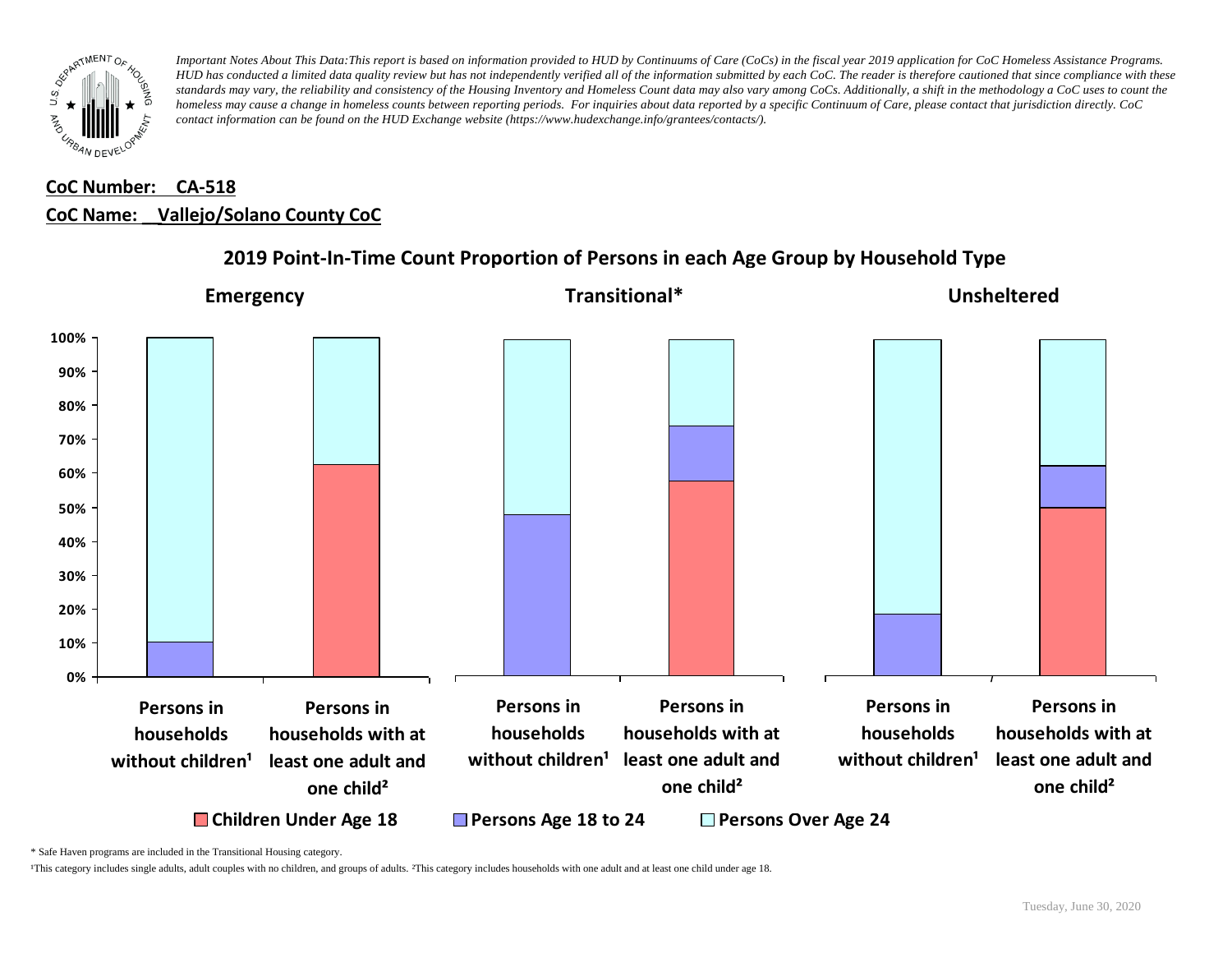

# **CoC Number: CA-518 CoC Name: \_\_ Vallejo/Solano County CoC**



### **2019 Point-In-Time Count Proportion of Persons in each Age Group by Household Type**

\* Safe Haven programs are included in the Transitional Housing category.

¹This category includes single adults, adult couples with no children, and groups of adults. ²This category includes households with one adult and at least one child under age 18.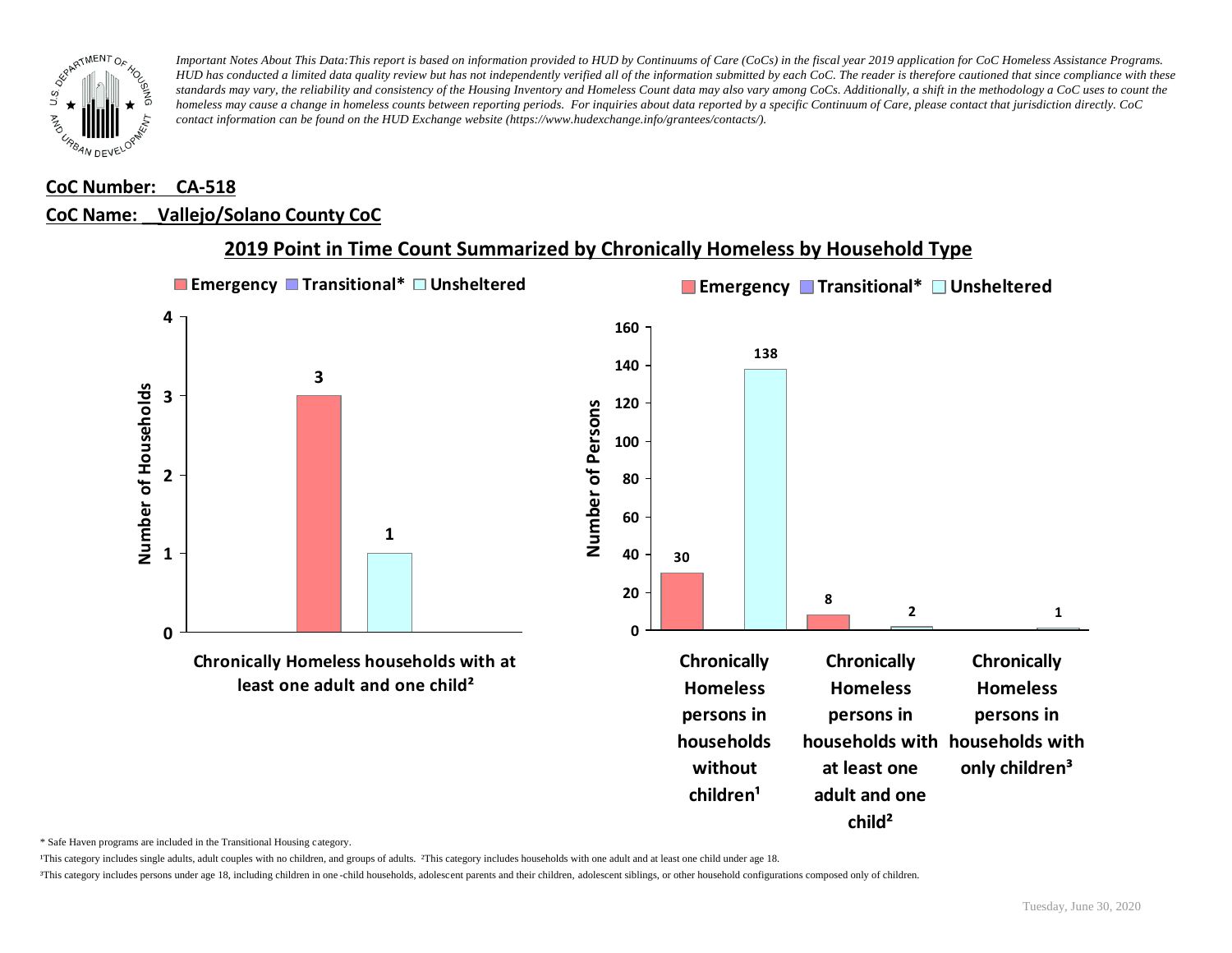

### **CoC Number: CA-518**

#### **CoC Name: \_\_ Vallejo/Solano County CoC**



## **2019 Point in Time Count Summarized by Chronically Homeless by Household Type**

\* Safe Haven programs are included in the Transitional Housing category.

¹This category includes single adults, adult couples with no children, and groups of adults. ²This category includes households with one adult and at least one child under age 18.

³This category includes persons under age 18, including children in one -child households, adolescent parents and their children, adolescent siblings, or other household configurations composed only of children.